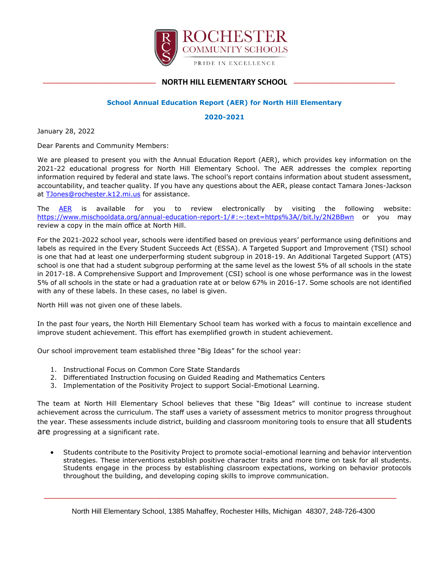

## \_\_\_\_\_\_\_\_\_\_\_\_\_\_\_\_\_\_\_\_\_\_\_\_\_\_\_\_\_\_\_\_\_\_\_\_\_\_\_\_\_\_\_\_\_\_\_\_\_\_\_\_\_\_\_\_\_\_\_\_\_\_\_\_\_\_\_\_\_\_\_\_\_\_\_\_\_\_\_\_\_\_\_\_\_\_\_\_\_ **NORTH HILL ELEMENTARY SCHOOL**

## **School Annual Education Report (AER) for North Hill Elementary**

#### **2020-2021**

January 28, 2022

Dear Parents and Community Members:

We are pleased to present you with the Annual Education Report (AER), which provides key information on the 2021-22 educational progress for North Hill Elementary School. The AER addresses the complex reporting information required by federal and state laws. The school's report contains information about student assessment, accountability, and teacher quality. If you have any questions about the AER, please contact Tamara Jones-Jackson at [TJones@rochester.k12.mi.us](mailto:TJones@rochester.k12.mi.us) for assistance.

The [AER](https://www.mischooldata.org/annual-education-report-1/#:~:text=https%3A//bit.ly/2N2BBwn) is available for you to review electronically by visiting the following website: <https://www.mischooldata.org/annual-education-report-1/#:~:text=https%3A//bit.ly/2N2BBwn> or you may review a copy in the main office at North Hill.

For the 2021-2022 school year, schools were identified based on previous years' performance using definitions and labels as required in the Every Student Succeeds Act (ESSA). A Targeted Support and Improvement (TSI) school is one that had at least one underperforming student subgroup in 2018-19. An Additional Targeted Support (ATS) school is one that had a student subgroup performing at the same level as the lowest 5% of all schools in the state in 2017-18. A Comprehensive Support and Improvement (CSI) school is one whose performance was in the lowest 5% of all schools in the state or had a graduation rate at or below 67% in 2016-17. Some schools are not identified with any of these labels. In these cases, no label is given.

North Hill was not given one of these labels.

In the past four years, the North Hill Elementary School team has worked with a focus to maintain excellence and improve student achievement. This effort has exemplified growth in student achievement.

Our school improvement team established three "Big Ideas" for the school year:

- 1. Instructional Focus on Common Core State Standards
- 2. Differentiated Instruction focusing on Guided Reading and Mathematics Centers
- 3. Implementation of the Positivity Project to support Social-Emotional Learning.

The team at North Hill Elementary School believes that these "Big Ideas" will continue to increase student achievement across the curriculum. The staff uses a variety of assessment metrics to monitor progress throughout the year. These assessments include district, building and classroom monitoring tools to ensure that all students are progressing at a significant rate.

 Students contribute to the Positivity Project to promote social-emotional learning and behavior intervention strategies. These interventions establish positive character traits and more time on task for all students. Students engage in the process by establishing classroom expectations, working on behavior protocols throughout the building, and developing coping skills to improve communication.

\_\_\_\_\_\_\_\_\_\_\_\_\_\_\_\_\_\_\_\_\_\_\_\_\_\_\_\_\_\_\_\_\_\_\_\_\_\_\_\_\_\_\_\_\_\_\_\_\_\_\_\_\_\_\_\_\_\_\_\_\_\_\_\_\_\_\_\_\_\_\_\_\_\_\_\_\_\_\_\_\_\_\_\_\_\_\_\_\_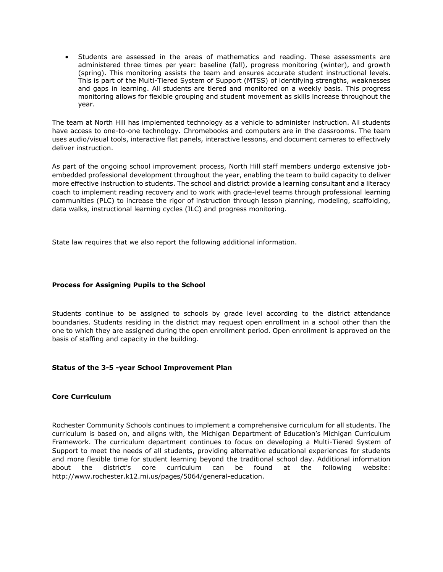Students are assessed in the areas of mathematics and reading. These assessments are administered three times per year: baseline (fall), progress monitoring (winter), and growth (spring). This monitoring assists the team and ensures accurate student instructional levels. This is part of the Multi-Tiered System of Support (MTSS) of identifying strengths, weaknesses and gaps in learning. All students are tiered and monitored on a weekly basis. This progress monitoring allows for flexible grouping and student movement as skills increase throughout the year.

The team at North Hill has implemented technology as a vehicle to administer instruction. All students have access to one-to-one technology. Chromebooks and computers are in the classrooms. The team uses audio/visual tools, interactive flat panels, interactive lessons, and document cameras to effectively deliver instruction.

As part of the ongoing school improvement process, North Hill staff members undergo extensive jobembedded professional development throughout the year, enabling the team to build capacity to deliver more effective instruction to students. The school and district provide a learning consultant and a literacy coach to implement reading recovery and to work with grade-level teams through professional learning communities (PLC) to increase the rigor of instruction through lesson planning, modeling, scaffolding, data walks, instructional learning cycles (ILC) and progress monitoring.

State law requires that we also report the following additional information.

### **Process for Assigning Pupils to the School**

Students continue to be assigned to schools by grade level according to the district attendance boundaries. Students residing in the district may request open enrollment in a school other than the one to which they are assigned during the open enrollment period. Open enrollment is approved on the basis of staffing and capacity in the building.

#### **Status of the 3-5 -year School Improvement Plan**

#### **Core Curriculum**

Rochester Community Schools continues to implement a comprehensive curriculum for all students. The curriculum is based on, and aligns with, the Michigan Department of Education's Michigan Curriculum Framework. The curriculum department continues to focus on developing a Multi-Tiered System of Support to meet the needs of all students, providing alternative educational experiences for students and more flexible time for student learning beyond the traditional school day. Additional information about the district's core curriculum can be found at the following website: http://www.rochester.k12.mi.us/pages/5064/general-education.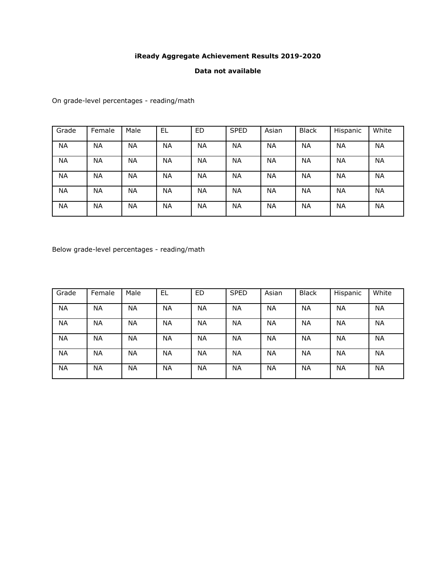## **iReady Aggregate Achievement Results 2019-2020**

### **Data not available**

On grade-level percentages - reading/math

| Grade     | Female    | Male      | EL        | ED        | <b>SPED</b> | Asian     | <b>Black</b> | Hispanic  | White |
|-----------|-----------|-----------|-----------|-----------|-------------|-----------|--------------|-----------|-------|
| <b>NA</b> | <b>NA</b> | <b>NA</b> | <b>NA</b> | <b>NA</b> | <b>NA</b>   | <b>NA</b> | <b>NA</b>    | <b>NA</b> | NA    |
| <b>NA</b> | <b>NA</b> | NA        | <b>NA</b> | <b>NA</b> | NA          | <b>NA</b> | <b>NA</b>    | <b>NA</b> | NA    |
| <b>NA</b> | <b>NA</b> | <b>NA</b> | <b>NA</b> | <b>NA</b> | NA          | <b>NA</b> | <b>NA</b>    | <b>NA</b> | NA    |
| <b>NA</b> | <b>NA</b> | <b>NA</b> | <b>NA</b> | <b>NA</b> | <b>NA</b>   | <b>NA</b> | <b>NA</b>    | <b>NA</b> | NA    |
| <b>NA</b> | <b>NA</b> | <b>NA</b> | <b>NA</b> | <b>NA</b> | NA          | <b>NA</b> | <b>NA</b>    | <b>NA</b> | NA    |

Below grade-level percentages - reading/math

| Grade     | Female    | Male      | EL        | <b>ED</b> | <b>SPED</b> | Asian     | <b>Black</b> | Hispanic  | White |
|-----------|-----------|-----------|-----------|-----------|-------------|-----------|--------------|-----------|-------|
| <b>NA</b> | <b>NA</b> | NA        | <b>NA</b> | <b>NA</b> | <b>NA</b>   | <b>NA</b> | <b>NA</b>    | <b>NA</b> | NA    |
| <b>NA</b> | <b>NA</b> | NA        | <b>NA</b> | <b>NA</b> | <b>NA</b>   | <b>NA</b> | <b>NA</b>    | <b>NA</b> | NA.   |
| <b>NA</b> | <b>NA</b> | <b>NA</b> | <b>NA</b> | <b>NA</b> | <b>NA</b>   | <b>NA</b> | NA           | <b>NA</b> | ΝA    |
| <b>NA</b> | <b>NA</b> | <b>NA</b> | <b>NA</b> | <b>NA</b> | <b>NA</b>   | <b>NA</b> | NA           | <b>NA</b> | NA.   |
| <b>NA</b> | <b>NA</b> | NA        | <b>NA</b> | <b>NA</b> | <b>NA</b>   | <b>NA</b> | <b>NA</b>    | <b>NA</b> | NΑ    |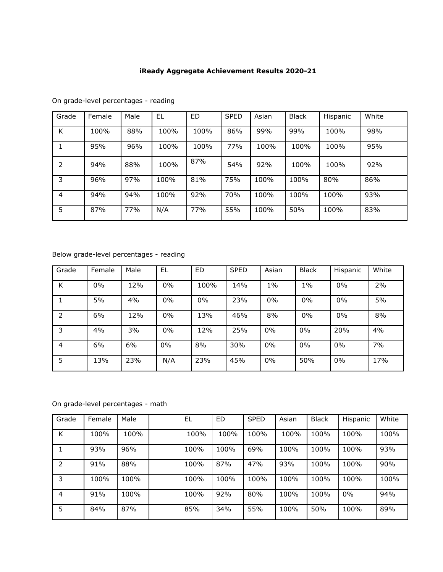# **iReady Aggregate Achievement Results 2020-21**

| Grade | Female | Male | EL   | ED         | <b>SPED</b> | Asian | <b>Black</b> | Hispanic | White |
|-------|--------|------|------|------------|-------------|-------|--------------|----------|-------|
| K     | 100%   | 88%  | 100% | 100%       | 86%         | 99%   | 99%          | 100%     | 98%   |
|       | 95%    | 96%  | 100% | 100%       | 77%         | 100%  | 100%         | 100%     | 95%   |
| 2     | 94%    | 88%  | 100% | 87%        | 54%         | 92%   | 100%         | 100%     | 92%   |
| 3     | 96%    | 97%  | 100% | 81%        | 75%         | 100%  | 100%         | 80%      | 86%   |
| 4     | 94%    | 94%  | 100% | 92%        | 70%         | 100%  | 100%         | 100%     | 93%   |
| 5     | 87%    | 77%  | N/A  | <b>77%</b> | 55%         | 100%  | 50%          | 100%     | 83%   |

On grade-level percentages - reading

## Below grade-level percentages - reading

| Grade | Female | Male | EL  | ED   | <b>SPED</b> | Asian | <b>Black</b> | Hispanic | White |
|-------|--------|------|-----|------|-------------|-------|--------------|----------|-------|
| K     | 0%     | 12%  | 0%  | 100% | 14%         | $1\%$ | $1\%$        | 0%       | 2%    |
|       | 5%     | 4%   | 0%  | 0%   | 23%         | 0%    | 0%           | 0%       | 5%    |
| 2     | 6%     | 12%  | 0%  | 13%  | 46%         | 8%    | 0%           | 0%       | 8%    |
| 3     | 4%     | 3%   | 0%  | 12%  | 25%         | 0%    | $0\%$        | 20%      | 4%    |
| 4     | 6%     | 6%   | 0%  | 8%   | 30%         | 0%    | 0%           | 0%       | 7%    |
| 5     | 13%    | 23%  | N/A | 23%  | 45%         | 0%    | 50%          | $0\%$    | 17%   |

On grade-level percentages - math

| Grade | Female | Male | EL   | ED   | <b>SPED</b> | Asian | <b>Black</b> | Hispanic | White |
|-------|--------|------|------|------|-------------|-------|--------------|----------|-------|
| K     | 100%   | 100% | 100% | 100% | 100%        | 100%  | 100%         | 100%     | 100%  |
|       | 93%    | 96%  | 100% | 100% | 69%         | 100%  | 100%         | 100%     | 93%   |
| 2     | 91%    | 88%  | 100% | 87%  | 47%         | 93%   | 100%         | 100%     | 90%   |
| 3     | 100%   | 100% | 100% | 100% | 100%        | 100%  | 100%         | 100%     | 100%  |
| 4     | 91%    | 100% | 100% | 92%  | 80%         | 100%  | 100%         | $0\%$    | 94%   |
| 5     | 84%    | 87%  | 85%  | 34%  | 55%         | 100%  | 50%          | 100%     | 89%   |